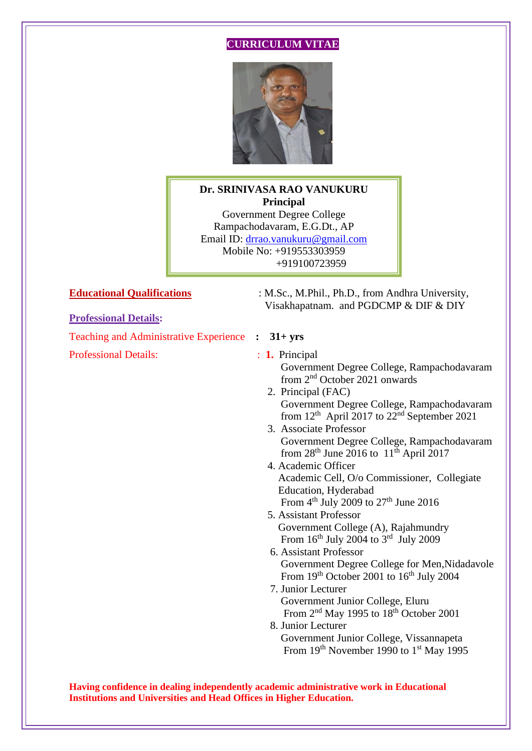# **CURRICULUM VITAE**



# **Dr. SRINIVASA RAO VANUKURU Principal**

Government Degree College Rampachodavaram, E.G.Dt., AP Email ID: [drrao.vanukuru@gmail.com](mailto:drrao.vanukuru@gmail.com) Mobile No: +919553303959 +919100723959

# **Professional Details:**

Teaching and Administrative Experience **: 31+ yrs** 

Professional Details:  $\qquad \qquad$  : **1.** Principal

**Educational Qualifications** : M.Sc., M.Phil., Ph.D., from Andhra University, Visakhapatnam. and PGDCMP & DIF & DIY

- Government Degree College, Rampachodavaram from 2<sup>nd</sup> October 2021 onwards
- 2. Principal (FAC) Government Degree College, Rampachodavaram from  $12<sup>th</sup>$  April 2017 to  $22<sup>nd</sup>$  September 2021
	- 3. Associate Professor Government Degree College, Rampachodavaram from  $28<sup>th</sup>$  June  $2016$  to  $11<sup>th</sup>$  April 2017
- 4. Academic Officer Academic Cell, O/o Commissioner, Collegiate Education, Hyderabad From  $4<sup>th</sup>$  July 2009 to 27<sup>th</sup> June 2016
- 5. Assistant Professor Government College (A), Rajahmundry From  $16<sup>th</sup>$  July 2004 to  $3<sup>rd</sup>$  July 2009
	- 6. Assistant Professor Government Degree College for Men,Nidadavole From  $19<sup>th</sup>$  October 2001 to  $16<sup>th</sup>$  July 2004
- 7. Junior Lecturer Government Junior College, Eluru From  $2<sup>nd</sup>$  May 1995 to 18<sup>th</sup> October 2001
- 8. Junior Lecturer Government Junior College, Vissannapeta From 19<sup>th</sup> November 1990 to 1<sup>st</sup> May 1995

**Having confidence in dealing independently academic administrative work in Educational Institutions and Universities and Head Offices in Higher Education.**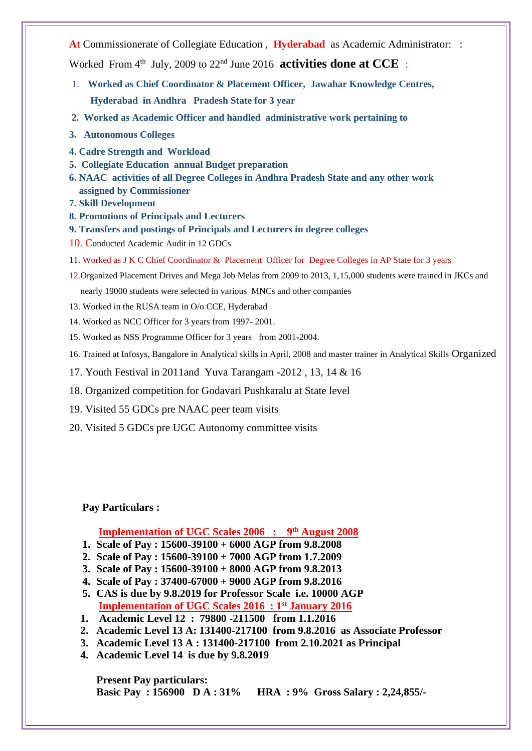**At** Commissionerate of Collegiate Education , **Hyderabad** as Academic Administrator: :

Worked From  $4^{\text{th}}$  July, 2009 to  $22^{\text{nd}}$  June 2016 **activities done at CCE** :

- 1. **Worked as Chief Coordinator & Placement Officer, Jawahar Knowledge Centres, Hyderabad in Andhra Pradesh State for 3 year**
- **2. Worked as Academic Officer and handled administrative work pertaining to**
- **3. Autonomous Colleges**
- **4. Cadre Strength and Workload**
- **5. Collegiate Education annual Budget preparation**
- **6. NAAC activities of all Degree Colleges in Andhra Pradesh State and any other work assigned by Commissioner**
- **7. Skill Development**
- **8. Promotions of Principals and Lecturers**
- **9. Transfers and postings of Principals and Lecturers in degree colleges**
- 10. Conducted Academic Audit in 12 GDCs
- 11. Worked as J K C Chief Coordinator & Placement Officer for Degree Colleges in AP State for 3 years
- 12.Organized Placement Drives and Mega Job Melas from 2009 to 2013, 1,15,000 students were trained in JKCs and nearly 19000 students were selected in various MNCs and other companies
- 13. Worked in the RUSA team in O/o CCE, Hyderabad
- 14. Worked as NCC Officer for 3 years from 1997- 2001.
- 15. Worked as NSS Programme Officer for 3 years from 2001-2004.
- 16. Trained at Infosys, Bangalore in Analytical skills in April, 2008 and master trainer in Analytical Skills Organized
- 17. Youth Festival in 2011and Yuva Tarangam -2012 , 13, 14 & 16
- 18. Organized competition for Godavari Pushkaralu at State level
- 19. Visited 55 GDCs pre NAAC peer team visits
- 20. Visited 5 GDCs pre UGC Autonomy committee visits

### **Pay Particulars :**

# **Implementation of UGC Scales 2006 : 9th August 2008**

- **1. Scale of Pay : 15600-39100 + 6000 AGP from 9.8.2008**
- **2. Scale of Pay : 15600-39100 + 7000 AGP from 1.7.2009**
- **3. Scale of Pay : 15600-39100 + 8000 AGP from 9.8.2013**
- **4. Scale of Pay : 37400-67000 + 9000 AGP from 9.8.2016**
- **5. CAS is due by 9.8.2019 for Professor Scale i.e. 10000 AGP Implementation of UGC Scales 2016 : 1st January 2016**
- **1. Academic Level 12 : 79800 -211500 from 1.1.2016**
- **2. Academic Level 13 A: 131400-217100 from 9.8.2016 as Associate Professor**
- **3. Academic Level 13 A : 131400-217100 from 2.10.2021 as Principal**
- **4. Academic Level 14 is due by 9.8.2019**

**Present Pay particulars: Basic Pay : 156900 D A : 31% HRA : 9% Gross Salary : 2,24,855/-**